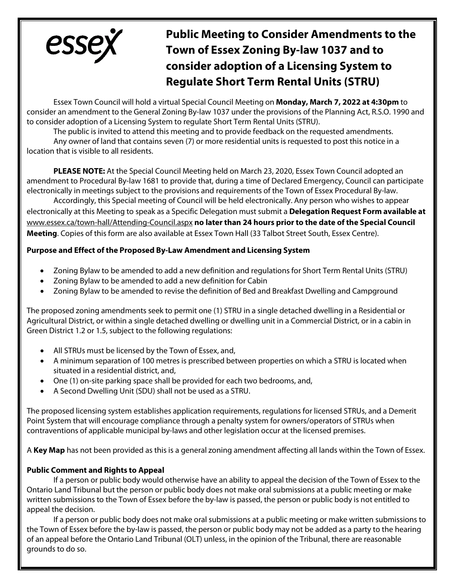# esse

# **Public Meeting to Consider Amendments to the Town of Essex Zoning By-law 1037 and to consider adoption of a Licensing System to Regulate Short Term Rental Units (STRU)**

Essex Town Council will hold a virtual Special Council Meeting on **Monday, March 7, 2022 at 4:30pm** to consider an amendment to the General Zoning By-law 1037 under the provisions of the Planning Act, R.S.O. 1990 and to consider adoption of a Licensing System to regulate Short Term Rental Units (STRU).

The public is invited to attend this meeting and to provide feedback on the requested amendments. Any owner of land that contains seven (7) or more residential units is requested to post this notice in a location that is visible to all residents.

**PLEASE NOTE:** At the Special Council Meeting held on March 23, 2020, Essex Town Council adopted an amendment to Procedural By-law 1681 to provide that, during a time of Declared Emergency, Council can participate electronically in meetings subject to the provisions and requirements of the Town of Essex Procedural By-law.

Accordingly, this Special meeting of Council will be held electronically. Any person who wishes to appear electronically at this Meeting to speak as a Specific Delegation must submit a **Delegation Request Form available at**  [www.essex.ca/town-hall/Attending-Council.aspx](http://www.essex.ca/town-hall/Attending-Council.aspx) **no later than 24 hours prior to the date of the Special Council Meeting**. Copies of this form are also available at Essex Town Hall (33 Talbot Street South, Essex Centre).

## **Purpose and Effect of the Proposed By-Law Amendment and Licensing System**

- Zoning Bylaw to be amended to add a new definition and regulations for Short Term Rental Units (STRU)
- Zoning Bylaw to be amended to add a new definition for Cabin
- Zoning Bylaw to be amended to revise the definition of Bed and Breakfast Dwelling and Campground

The proposed zoning amendments seek to permit one (1) STRU in a single detached dwelling in a Residential or Agricultural District, or within a single detached dwelling or dwelling unit in a Commercial District, or in a cabin in Green District 1.2 or 1.5, subject to the following regulations:

- All STRUs must be licensed by the Town of Essex, and,
- A minimum separation of 100 metres is prescribed between properties on which a STRU is located when situated in a residential district, and,
- One (1) on-site parking space shall be provided for each two bedrooms, and,
- A Second Dwelling Unit (SDU) shall not be used as a STRU.

The proposed licensing system establishes application requirements, regulations for licensed STRUs, and a Demerit Point System that will encourage compliance through a penalty system for owners/operators of STRUs when contraventions of applicable municipal by-laws and other legislation occur at the licensed premises.

A **Key Map** has not been provided as this is a general zoning amendment affecting all lands within the Town of Essex.

# **Public Comment and Rights to Appeal**

If a person or public body would otherwise have an ability to appeal the decision of the Town of Essex to the Ontario Land Tribunal but the person or public body does not make oral submissions at a public meeting or make written submissions to the Town of Essex before the by-law is passed, the person or public body is not entitled to appeal the decision.

If a person or public body does not make oral submissions at a public meeting or make written submissions to the Town of Essex before the by-law is passed, the person or public body may not be added as a party to the hearing of an appeal before the Ontario Land Tribunal (OLT) unless, in the opinion of the Tribunal, there are reasonable grounds to do so.